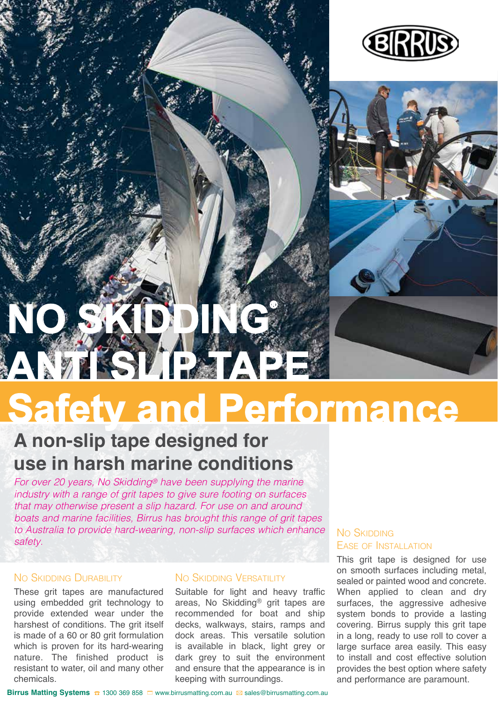



# **Safety and Performance NO SKIDDING® ANTI SLIP TAPE**

### **A non-slip tape designed for use in harsh marine conditions**

*For over 20 years, No Skidding® have been supplying the marine industry with a range of grit tapes to give sure footing on surfaces that may otherwise present a slip hazard. For use on and around boats and marine facilities, Birrus has brought this range of grit tapes to Australia to provide hard-wearing, non-slip surfaces which enhance safety.* 

#### NO SKIDDING DURABILITY

These grit tapes are manufactured using embedded grit technology to provide extended wear under the harshest of conditions. The grit itself is made of a 60 or 80 grit formulation which is proven for its hard-wearing nature. The finished product is resistant to water, oil and many other chemicals.

#### No SKIDDING VERSATILITY

Suitable for light and heavy traffic areas, No Skidding® grit tapes are recommended for boat and ship decks, walkways, stairs, ramps and dock areas. This versatile solution is available in black, light grey or dark grey to suit the environment and ensure that the appearance is in keeping with surroundings.

#### No Skipping Ease of Installation

This grit tape is designed for use on smooth surfaces including metal, sealed or painted wood and concrete. When applied to clean and dry surfaces, the aggressive adhesive system bonds to provide a lasting covering. Birrus supply this grit tape in a long, ready to use roll to cover a large surface area easily. This easy to install and cost effective solution provides the best option where safety and performance are paramount.

**Birrus Matting Systems ☎ 1300 369 858 □ www.birrusmatting.com.au <br>
<sub>2016</sub> ales@birrusmatting.com.au**